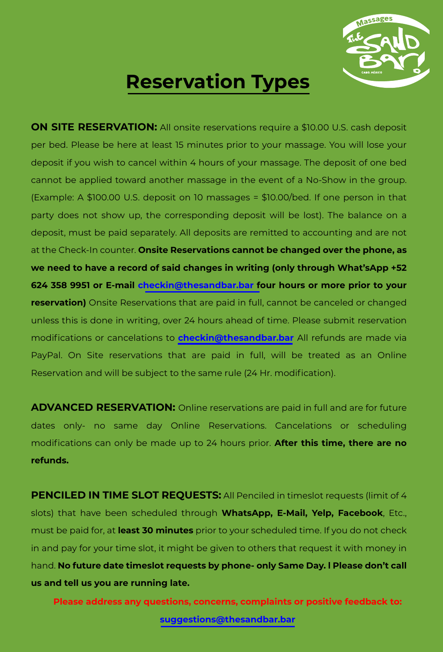

## **Reservation Types**

**ON SITE RESERVATION:** All onsite reservations require a \$10.00 U.S. cash deposit per bed. Please be here at least 15 minutes prior to your massage. You will lose your deposit if you wish to cancel within 4 hours of your massage. The deposit of one bed cannot be applied toward another massage in the event of a No-Show in the group. (Example: A \$100.00 U.S. deposit on 10 massages = \$10.00/bed. If one person in that party does not show up, the corresponding deposit will be lost). The balance on a deposit, must be paid separately. All deposits are remitted to accounting and are not at the Check-In counter. **Onsite Reservations cannot be changed over the phone, as we need to have a record of said changes in writing (only through What'sApp +52 624 358 9951 or E-mail checkin@thesandbar.bar four hours or more prior to your reservation)** Onsite Reservations that are paid in full, cannot be canceled or changed unless this is done in writing, over 24 hours ahead of time. Please submit reservation modifications or cancelations to **checkin@thesandbar.bar** All refunds are made via PayPal. On Site reservations that are paid in full, will be treated as an Online Reservation and will be subject to the same rule (24 Hr. modification).

**ADVANCED RESERVATION:** Online reservations are paid in full and are for future dates only- no same day Online Reservations. Cancelations or scheduling modifications can only be made up to 24 hours prior. **After this time, there are no refunds.**

**PENCILED IN TIME SLOT REQUESTS:** All Penciled in timeslot requests (limit of 4 slots) that have been scheduled through **WhatsApp, E-Mail, Yelp, Facebook**, Etc., must be paid for, at **least 30 minutes** prior to your scheduled time. If you do not check in and pay for your time slot, it might be given to others that request it with money in hand. **No future date timeslot requests by phone- only Same Day. l Please don't call us and tell us you are running late.**

**Please address any questions, concerns, complaints or positive feedback to: suggestions@thesandbar.bar**